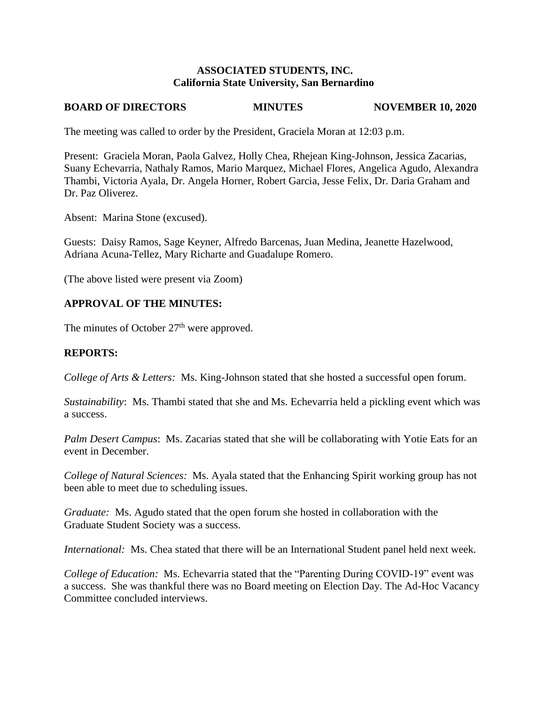#### **ASSOCIATED STUDENTS, INC. California State University, San Bernardino**

# **BOARD OF DIRECTORS MINUTES NOVEMBER 10, 2020**

The meeting was called to order by the President, Graciela Moran at 12:03 p.m.

Present: Graciela Moran, Paola Galvez, Holly Chea, Rhejean King-Johnson, Jessica Zacarias, Suany Echevarria, Nathaly Ramos, Mario Marquez, Michael Flores, Angelica Agudo, Alexandra Thambi, Victoria Ayala, Dr. Angela Horner, Robert Garcia, Jesse Felix, Dr. Daria Graham and Dr. Paz Oliverez.

Absent: Marina Stone (excused).

Guests: Daisy Ramos, Sage Keyner, Alfredo Barcenas, Juan Medina, Jeanette Hazelwood, Adriana Acuna-Tellez, Mary Richarte and Guadalupe Romero.

(The above listed were present via Zoom)

## **APPROVAL OF THE MINUTES:**

The minutes of October  $27<sup>th</sup>$  were approved.

# **REPORTS:**

*College of Arts & Letters:* Ms. King-Johnson stated that she hosted a successful open forum.

*Sustainability*: Ms. Thambi stated that she and Ms. Echevarria held a pickling event which was a success.

*Palm Desert Campus*: Ms. Zacarias stated that she will be collaborating with Yotie Eats for an event in December.

*College of Natural Sciences:* Ms. Ayala stated that the Enhancing Spirit working group has not been able to meet due to scheduling issues.

*Graduate:* Ms. Agudo stated that the open forum she hosted in collaboration with the Graduate Student Society was a success.

*International:* Ms. Chea stated that there will be an International Student panel held next week.

*College of Education:* Ms. Echevarria stated that the "Parenting During COVID-19" event was a success. She was thankful there was no Board meeting on Election Day. The Ad-Hoc Vacancy Committee concluded interviews.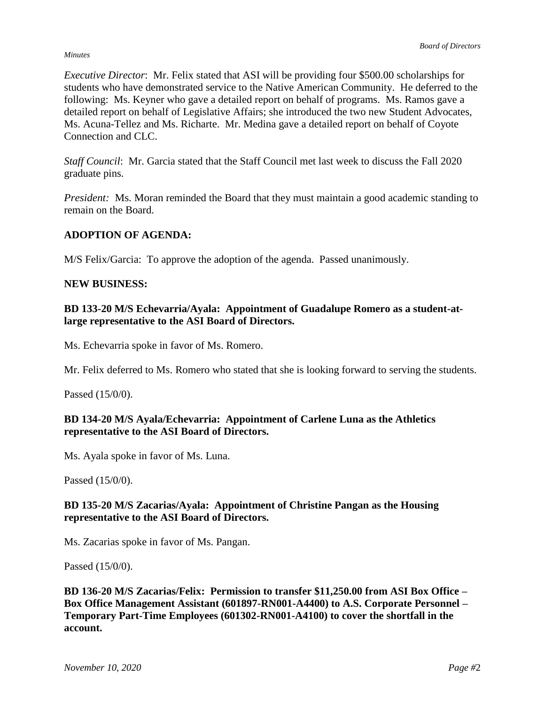#### *Minutes*

*Executive Director*: Mr. Felix stated that ASI will be providing four \$500.00 scholarships for students who have demonstrated service to the Native American Community. He deferred to the following: Ms. Keyner who gave a detailed report on behalf of programs. Ms. Ramos gave a detailed report on behalf of Legislative Affairs; she introduced the two new Student Advocates, Ms. Acuna-Tellez and Ms. Richarte. Mr. Medina gave a detailed report on behalf of Coyote Connection and CLC.

*Staff Council*: Mr. Garcia stated that the Staff Council met last week to discuss the Fall 2020 graduate pins.

*President:* Ms. Moran reminded the Board that they must maintain a good academic standing to remain on the Board.

## **ADOPTION OF AGENDA:**

M/S Felix/Garcia: To approve the adoption of the agenda. Passed unanimously.

#### **NEW BUSINESS:**

#### **BD 133-20 M/S Echevarria/Ayala: Appointment of Guadalupe Romero as a student-atlarge representative to the ASI Board of Directors.**

Ms. Echevarria spoke in favor of Ms. Romero.

Mr. Felix deferred to Ms. Romero who stated that she is looking forward to serving the students.

Passed (15/0/0).

## **BD 134-20 M/S Ayala/Echevarria: Appointment of Carlene Luna as the Athletics representative to the ASI Board of Directors.**

Ms. Ayala spoke in favor of Ms. Luna.

Passed (15/0/0).

### **BD 135-20 M/S Zacarias/Ayala: Appointment of Christine Pangan as the Housing representative to the ASI Board of Directors.**

Ms. Zacarias spoke in favor of Ms. Pangan.

Passed (15/0/0).

**BD 136-20 M/S Zacarias/Felix: Permission to transfer \$11,250.00 from ASI Box Office – Box Office Management Assistant (601897-RN001-A4400) to A.S. Corporate Personnel – Temporary Part-Time Employees (601302-RN001-A4100) to cover the shortfall in the account.**